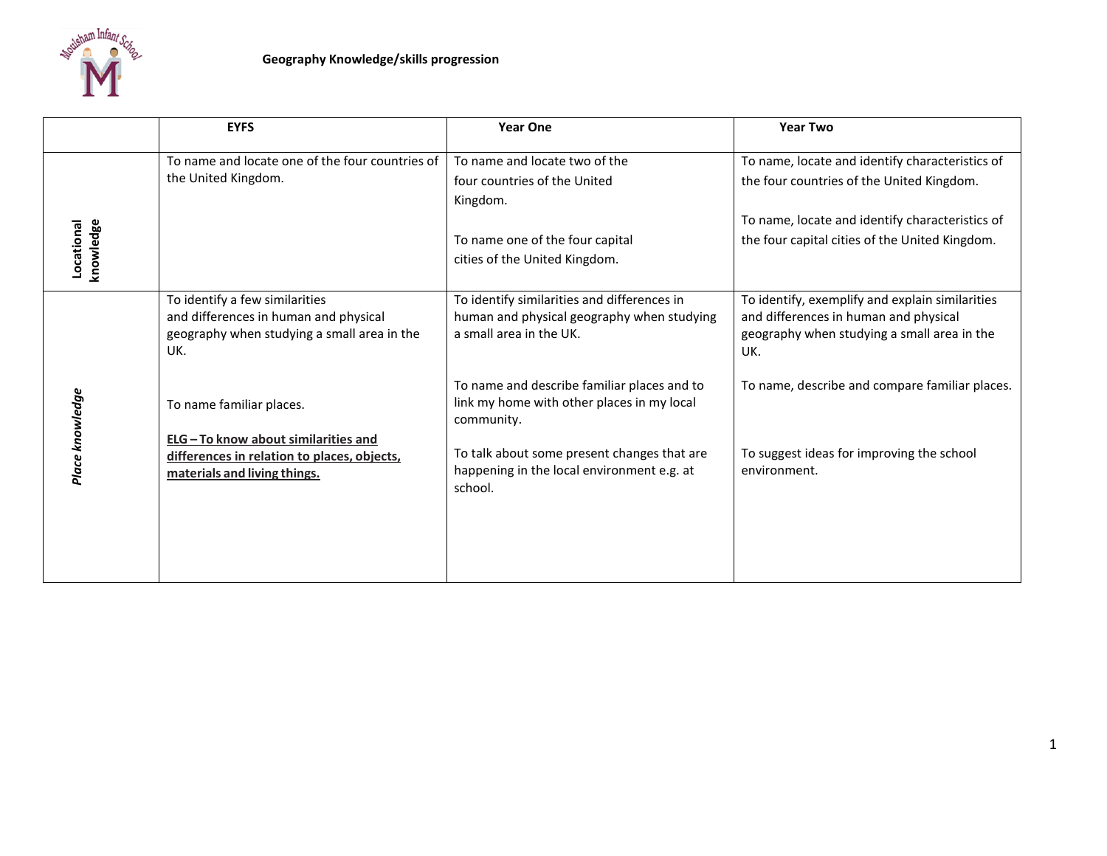

|                         | <b>EYFS</b>                                                                                                                                   | <b>Year One</b>                                                                                                                                                                                                 | <b>Year Two</b>                                                                                                                                                                                   |
|-------------------------|-----------------------------------------------------------------------------------------------------------------------------------------------|-----------------------------------------------------------------------------------------------------------------------------------------------------------------------------------------------------------------|---------------------------------------------------------------------------------------------------------------------------------------------------------------------------------------------------|
| knowledge<br>Locational | To name and locate one of the four countries of<br>the United Kingdom.                                                                        | To name and locate two of the<br>four countries of the United<br>Kingdom.<br>To name one of the four capital<br>cities of the United Kingdom.                                                                   | To name, locate and identify characteristics of<br>the four countries of the United Kingdom.<br>To name, locate and identify characteristics of<br>the four capital cities of the United Kingdom. |
|                         | To identify a few similarities<br>and differences in human and physical<br>geography when studying a small area in the<br>UK.                 | To identify similarities and differences in<br>human and physical geography when studying<br>a small area in the UK.                                                                                            | To identify, exemplify and explain similarities<br>and differences in human and physical<br>geography when studying a small area in the<br>UK.                                                    |
| Place knowledge         | To name familiar places.<br>ELG-To know about similarities and<br>differences in relation to places, objects,<br>materials and living things. | To name and describe familiar places and to<br>link my home with other places in my local<br>community.<br>To talk about some present changes that are<br>happening in the local environment e.g. at<br>school. | To name, describe and compare familiar places.<br>To suggest ideas for improving the school<br>environment.                                                                                       |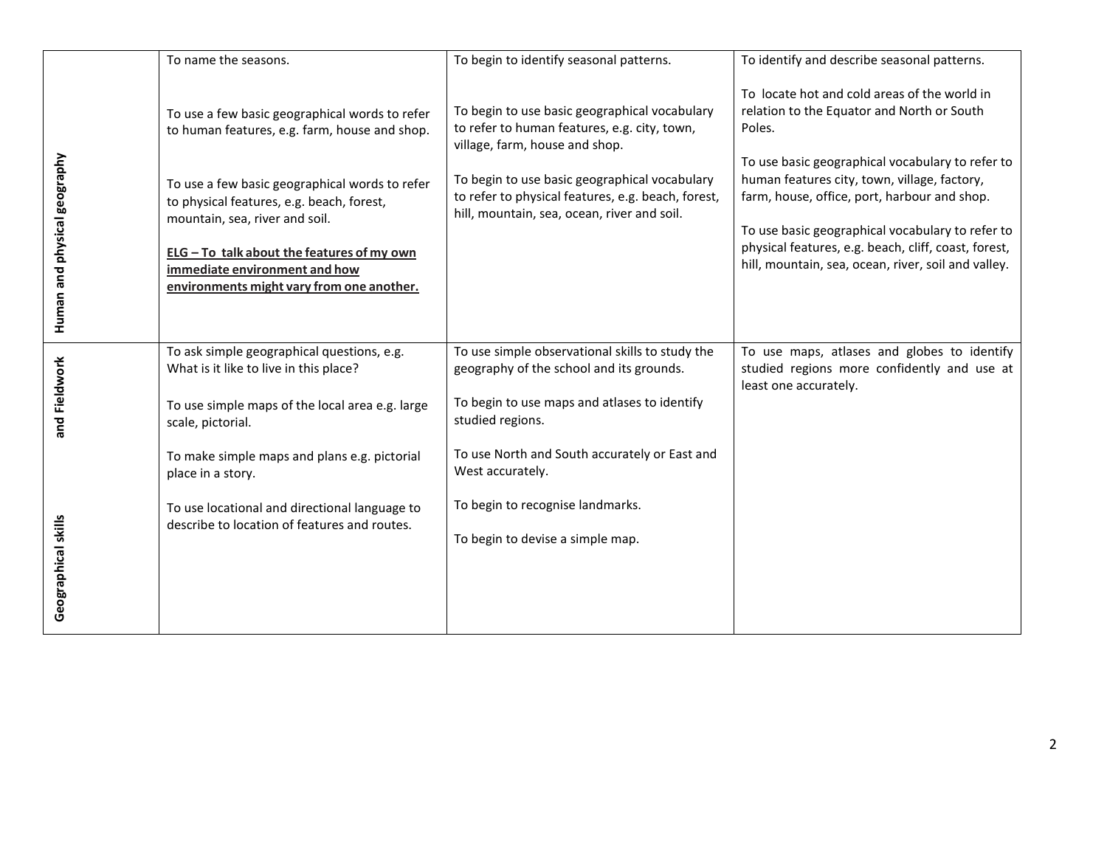|                                      | To name the seasons.                                                                                                                                                                                                                                                                                                                                         | To begin to identify seasonal patterns.                                                                                                                                                                                                                                                                      | To identify and describe seasonal patterns.                                                                                                                                                                                                                                                                                                                                                                                 |
|--------------------------------------|--------------------------------------------------------------------------------------------------------------------------------------------------------------------------------------------------------------------------------------------------------------------------------------------------------------------------------------------------------------|--------------------------------------------------------------------------------------------------------------------------------------------------------------------------------------------------------------------------------------------------------------------------------------------------------------|-----------------------------------------------------------------------------------------------------------------------------------------------------------------------------------------------------------------------------------------------------------------------------------------------------------------------------------------------------------------------------------------------------------------------------|
| Human and physical geography         | To use a few basic geographical words to refer<br>to human features, e.g. farm, house and shop.<br>To use a few basic geographical words to refer<br>to physical features, e.g. beach, forest,<br>mountain, sea, river and soil.<br>ELG - To talk about the features of my own<br>immediate environment and how<br>environments might vary from one another. | To begin to use basic geographical vocabulary<br>to refer to human features, e.g. city, town,<br>village, farm, house and shop.<br>To begin to use basic geographical vocabulary<br>to refer to physical features, e.g. beach, forest,<br>hill, mountain, sea, ocean, river and soil.                        | To locate hot and cold areas of the world in<br>relation to the Equator and North or South<br>Poles.<br>To use basic geographical vocabulary to refer to<br>human features city, town, village, factory,<br>farm, house, office, port, harbour and shop.<br>To use basic geographical vocabulary to refer to<br>physical features, e.g. beach, cliff, coast, forest,<br>hill, mountain, sea, ocean, river, soil and valley. |
| and Fieldwork<br>Geographical skills | To ask simple geographical questions, e.g.<br>What is it like to live in this place?<br>To use simple maps of the local area e.g. large<br>scale, pictorial.<br>To make simple maps and plans e.g. pictorial<br>place in a story.<br>To use locational and directional language to<br>describe to location of features and routes.                           | To use simple observational skills to study the<br>geography of the school and its grounds.<br>To begin to use maps and atlases to identify<br>studied regions.<br>To use North and South accurately or East and<br>West accurately.<br>To begin to recognise landmarks.<br>To begin to devise a simple map. | To use maps, atlases and globes to identify<br>studied regions more confidently and use at<br>least one accurately.                                                                                                                                                                                                                                                                                                         |
|                                      |                                                                                                                                                                                                                                                                                                                                                              |                                                                                                                                                                                                                                                                                                              |                                                                                                                                                                                                                                                                                                                                                                                                                             |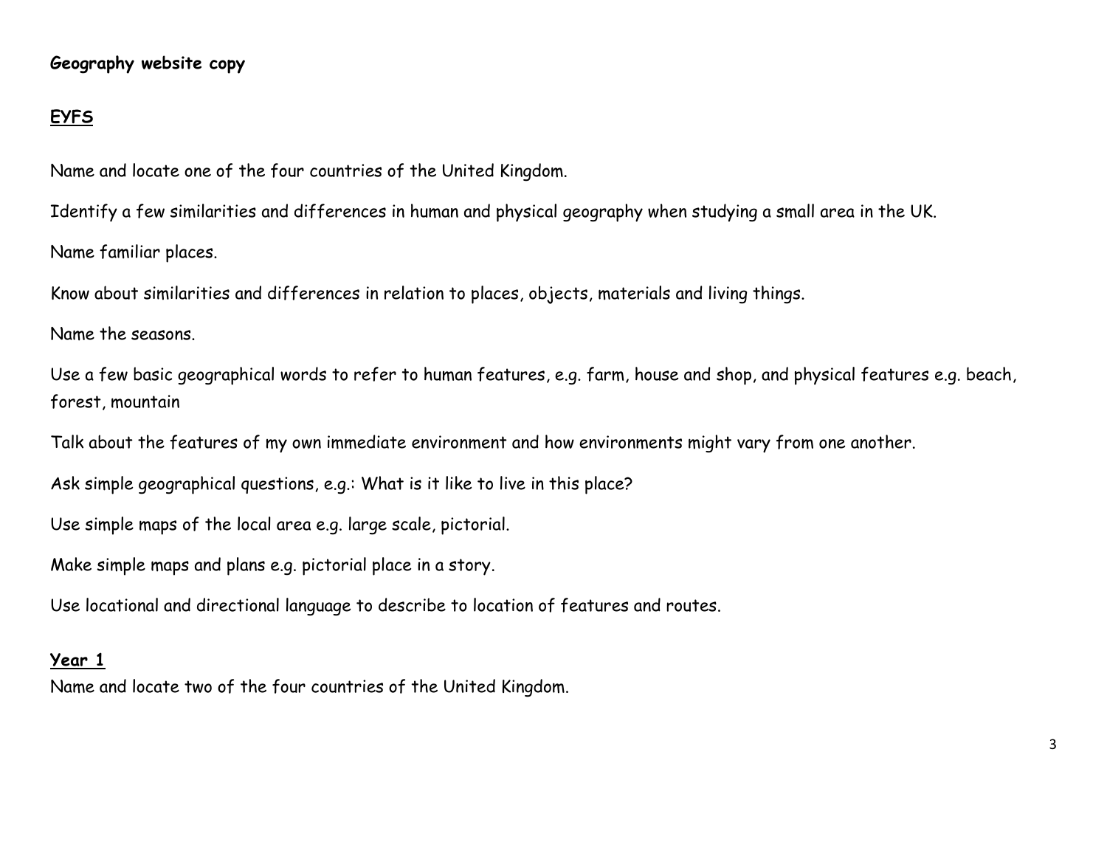## **Geography website copy**

## **EYFS**

Name and locate one of the four countries of the United Kingdom.

Identify a few similarities and differences in human and physical geography when studying a small area in the UK.

Name familiar places.

Know about similarities and differences in relation to places, objects, materials and living things.

Name the seasons.

Use a few basic geographical words to refer to human features, e.g. farm, house and shop, and physical features e.g. beach, forest, mountain

Talk about the features of my own immediate environment and how environments might vary from one another.

Ask simple geographical questions, e.g.: What is it like to live in this place?

Use simple maps of the local area e.g. large scale, pictorial.

Make simple maps and plans e.g. pictorial place in a story.

Use locational and directional language to describe to location of features and routes.

## **Year 1**

Name and locate two of the four countries of the United Kingdom.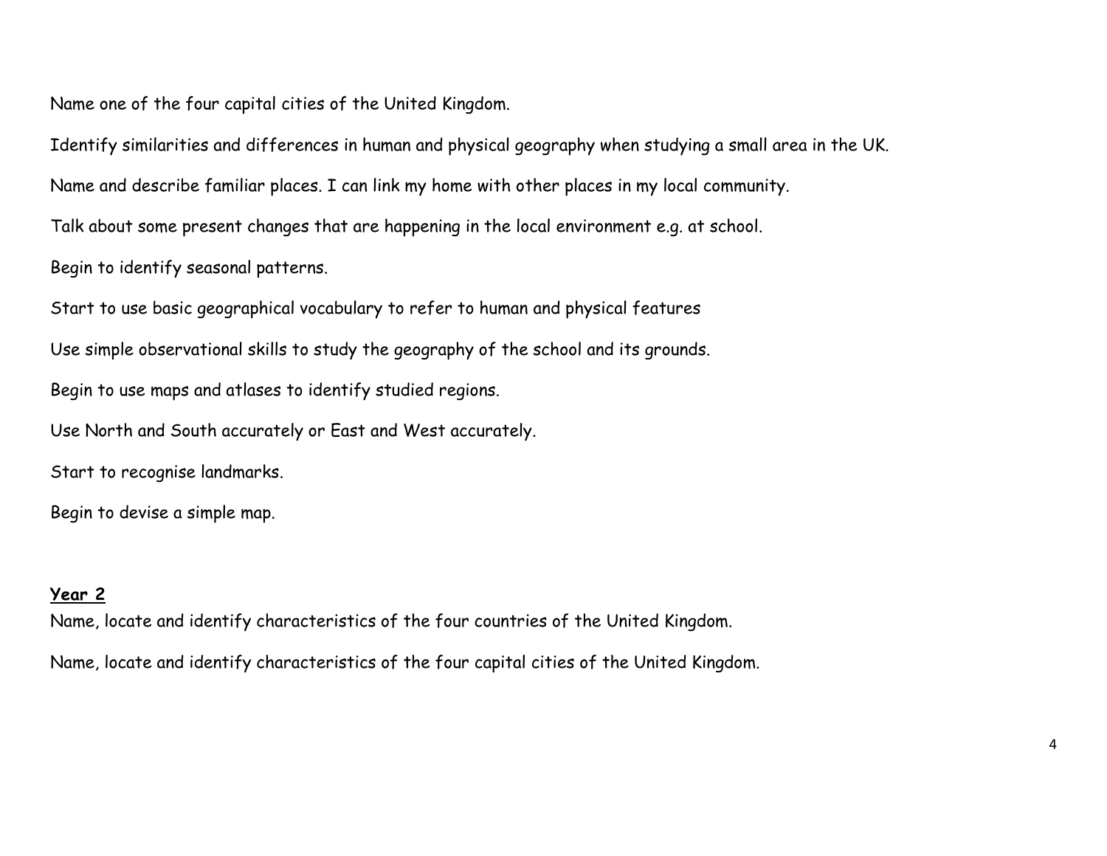Name one of the four capital cities of the United Kingdom.

Identify similarities and differences in human and physical geography when studying a small area in the UK.

Name and describe familiar places. I can link my home with other places in my local community.

Talk about some present changes that are happening in the local environment e.g. at school.

Begin to identify seasonal patterns.

Start to use basic geographical vocabulary to refer to human and physical features

Use simple observational skills to study the geography of the school and its grounds.

Begin to use maps and atlases to identify studied regions.

Use North and South accurately or East and West accurately.

Start to recognise landmarks.

Begin to devise a simple map.

## **Year 2**

Name, locate and identify characteristics of the four countries of the United Kingdom.

Name, locate and identify characteristics of the four capital cities of the United Kingdom.